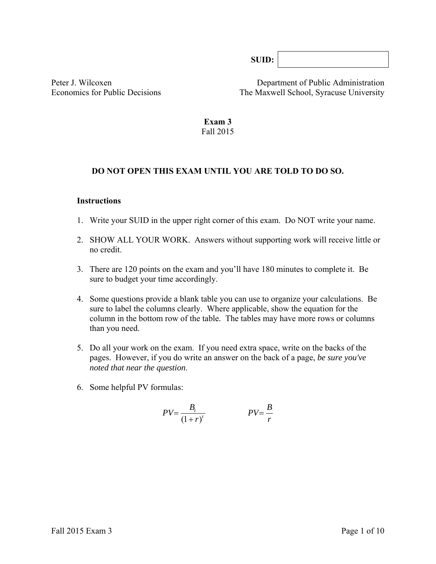**SUID:**

Peter J. Wilcoxen Department of Public Administration Economics for Public Decisions The Maxwell School, Syracuse University

#### **Exam 3**  Fall 2015

#### **DO NOT OPEN THIS EXAM UNTIL YOU ARE TOLD TO DO SO.**

#### **Instructions**

- 1. Write your SUID in the upper right corner of this exam. Do NOT write your name.
- 2. SHOW ALL YOUR WORK. Answers without supporting work will receive little or no credit.
- 3. There are 120 points on the exam and you'll have 180 minutes to complete it. Be sure to budget your time accordingly.
- 4. Some questions provide a blank table you can use to organize your calculations. Be sure to label the columns clearly. Where applicable, show the equation for the column in the bottom row of the table*.* The tables may have more rows or columns than you need.
- 5. Do all your work on the exam. If you need extra space, write on the backs of the pages. However, if you do write an answer on the back of a page, *be sure you've noted that near the question*.
- 6. Some helpful PV formulas:

$$
PV = \frac{B_t}{(1+r)^t}
$$
 
$$
PV = \frac{B}{r}
$$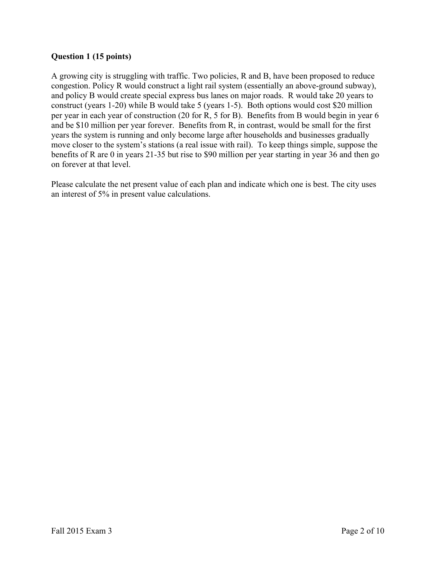## **Question 1 (15 points)**

A growing city is struggling with traffic. Two policies, R and B, have been proposed to reduce congestion. Policy R would construct a light rail system (essentially an above-ground subway), and policy B would create special express bus lanes on major roads. R would take 20 years to construct (years 1-20) while B would take 5 (years 1-5). Both options would cost \$20 million per year in each year of construction (20 for R, 5 for B). Benefits from B would begin in year 6 and be \$10 million per year forever. Benefits from R, in contrast, would be small for the first years the system is running and only become large after households and businesses gradually move closer to the system's stations (a real issue with rail). To keep things simple, suppose the benefits of R are 0 in years 21-35 but rise to \$90 million per year starting in year 36 and then go on forever at that level.

Please calculate the net present value of each plan and indicate which one is best. The city uses an interest of 5% in present value calculations.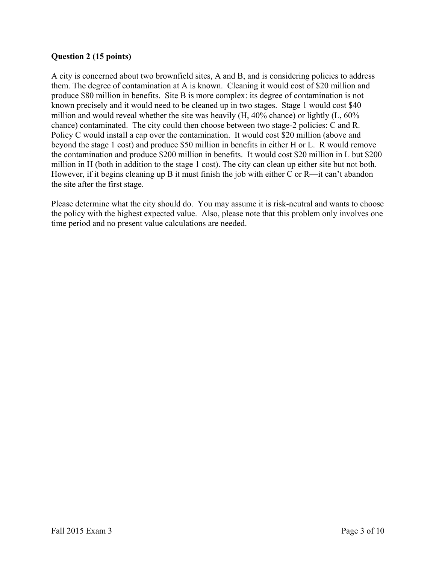## **Question 2 (15 points)**

A city is concerned about two brownfield sites, A and B, and is considering policies to address them. The degree of contamination at A is known. Cleaning it would cost of \$20 million and produce \$80 million in benefits. Site B is more complex: its degree of contamination is not known precisely and it would need to be cleaned up in two stages. Stage 1 would cost \$40 million and would reveal whether the site was heavily (H, 40% chance) or lightly (L, 60% chance) contaminated. The city could then choose between two stage-2 policies: C and R. Policy C would install a cap over the contamination. It would cost \$20 million (above and beyond the stage 1 cost) and produce \$50 million in benefits in either H or L. R would remove the contamination and produce \$200 million in benefits. It would cost \$20 million in L but \$200 million in H (both in addition to the stage 1 cost). The city can clean up either site but not both. However, if it begins cleaning up B it must finish the job with either C or R—it can't abandon the site after the first stage.

Please determine what the city should do. You may assume it is risk-neutral and wants to choose the policy with the highest expected value. Also, please note that this problem only involves one time period and no present value calculations are needed.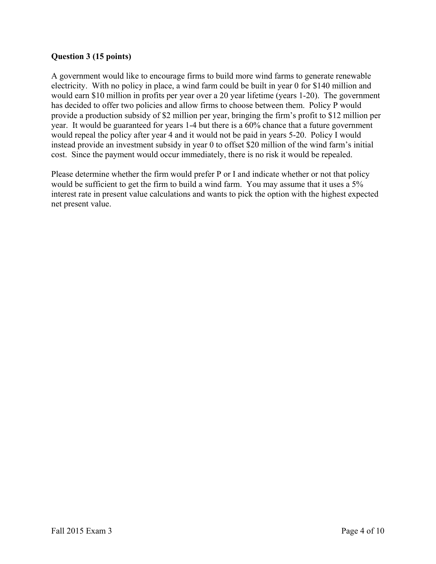### **Question 3 (15 points)**

A government would like to encourage firms to build more wind farms to generate renewable electricity. With no policy in place, a wind farm could be built in year 0 for \$140 million and would earn \$10 million in profits per year over a 20 year lifetime (years 1-20). The government has decided to offer two policies and allow firms to choose between them. Policy P would provide a production subsidy of \$2 million per year, bringing the firm's profit to \$12 million per year. It would be guaranteed for years 1-4 but there is a 60% chance that a future government would repeal the policy after year 4 and it would not be paid in years 5-20. Policy I would instead provide an investment subsidy in year 0 to offset \$20 million of the wind farm's initial cost. Since the payment would occur immediately, there is no risk it would be repealed.

Please determine whether the firm would prefer P or I and indicate whether or not that policy would be sufficient to get the firm to build a wind farm. You may assume that it uses a 5% interest rate in present value calculations and wants to pick the option with the highest expected net present value.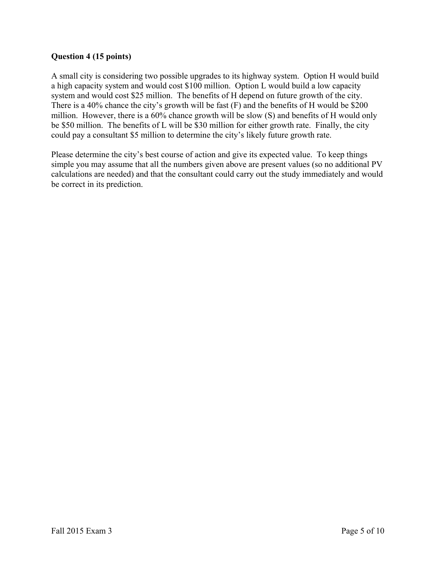## **Question 4 (15 points)**

A small city is considering two possible upgrades to its highway system. Option H would build a high capacity system and would cost \$100 million. Option L would build a low capacity system and would cost \$25 million. The benefits of H depend on future growth of the city. There is a 40% chance the city's growth will be fast (F) and the benefits of H would be \$200 million. However, there is a 60% chance growth will be slow (S) and benefits of H would only be \$50 million. The benefits of L will be \$30 million for either growth rate. Finally, the city could pay a consultant \$5 million to determine the city's likely future growth rate.

Please determine the city's best course of action and give its expected value. To keep things simple you may assume that all the numbers given above are present values (so no additional PV calculations are needed) and that the consultant could carry out the study immediately and would be correct in its prediction.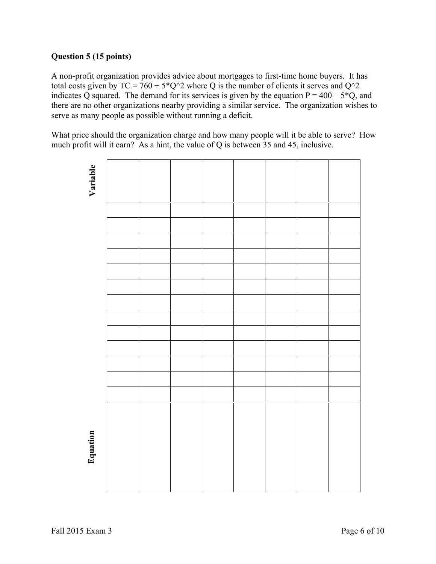# **Question 5 (15 points)**

A non-profit organization provides advice about mortgages to first-time home buyers. It has total costs given by  $TC = 760 + 5^*Q^2$  where Q is the number of clients it serves and  $Q^2$ indicates Q squared. The demand for its services is given by the equation  $P = 400 - 5*Q$ , and there are no other organizations nearby providing a similar service. The organization wishes to serve as many people as possible without running a deficit.

What price should the organization charge and how many people will it be able to serve? How much profit will it earn? As a hint, the value of Q is between 35 and 45, inclusive.

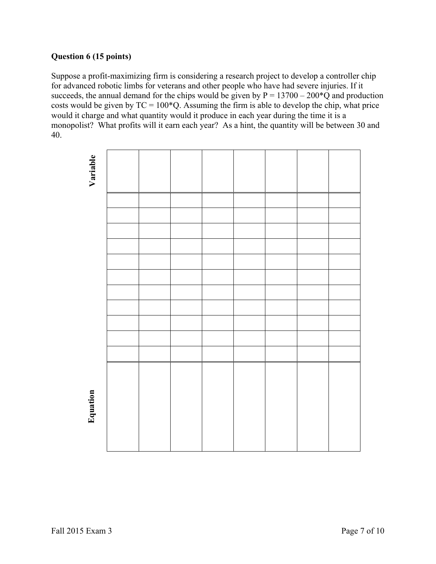# **Question 6 (15 points)**

Suppose a profit-maximizing firm is considering a research project to develop a controller chip for advanced robotic limbs for veterans and other people who have had severe injuries. If it succeeds, the annual demand for the chips would be given by  $P = 13700 - 200 \times Q$  and production costs would be given by  $TC = 100*Q$ . Assuming the firm is able to develop the chip, what price would it charge and what quantity would it produce in each year during the time it is a monopolist? What profits will it earn each year? As a hint, the quantity will be between 30 and 40.

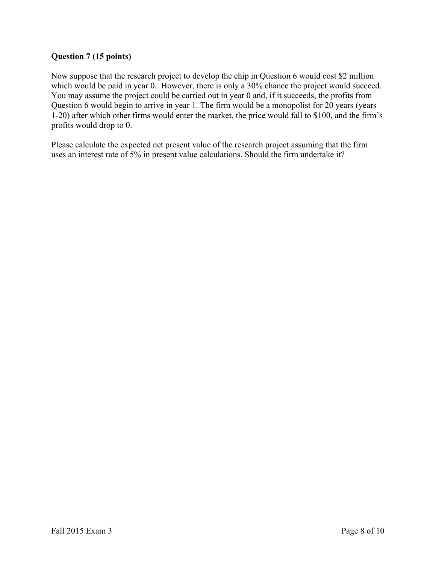# **Question 7 (15 points)**

Now suppose that the research project to develop the chip in Question 6 would cost \$2 million which would be paid in year 0. However, there is only a 30% chance the project would succeed. You may assume the project could be carried out in year 0 and, if it succeeds, the profits from Question 6 would begin to arrive in year 1. The firm would be a monopolist for 20 years (years 1-20) after which other firms would enter the market, the price would fall to \$100, and the firm's profits would drop to 0.

Please calculate the expected net present value of the research project assuming that the firm uses an interest rate of 5% in present value calculations. Should the firm undertake it?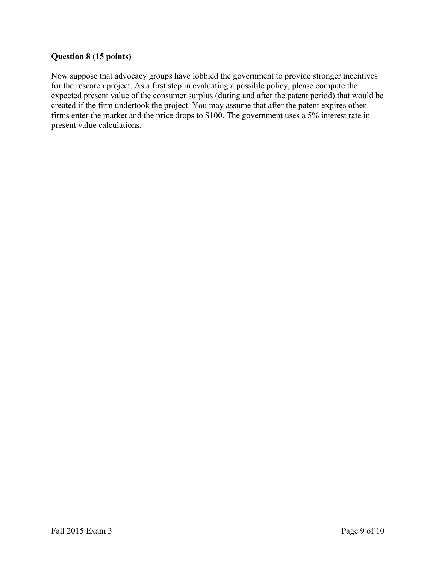# **Question 8 (15 points)**

Now suppose that advocacy groups have lobbied the government to provide stronger incentives for the research project. As a first step in evaluating a possible policy, please compute the expected present value of the consumer surplus (during and after the patent period) that would be created if the firm undertook the project. You may assume that after the patent expires other firms enter the market and the price drops to \$100. The government uses a 5% interest rate in present value calculations.